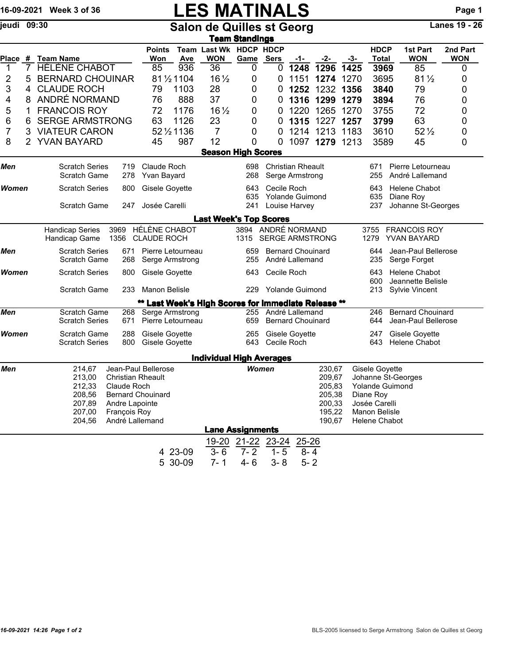|              |                                                                                                                                                                    | 16-09-2021 Week 3 of 36                      |                                                 |                                                     |                    | <b>LES MATINALS</b>                                                         |                         |                    |                                             |                      |                                                                                                   |                                                   |                                                 | Page 1                 |
|--------------|--------------------------------------------------------------------------------------------------------------------------------------------------------------------|----------------------------------------------|-------------------------------------------------|-----------------------------------------------------|--------------------|-----------------------------------------------------------------------------|-------------------------|--------------------|---------------------------------------------|----------------------|---------------------------------------------------------------------------------------------------|---------------------------------------------------|-------------------------------------------------|------------------------|
| jeudi 09:30  |                                                                                                                                                                    |                                              |                                                 |                                                     |                    | <b>Salon de Quilles st Georg</b>                                            |                         |                    |                                             |                      |                                                                                                   |                                                   |                                                 | <b>Lanes 19 - 26</b>   |
|              |                                                                                                                                                                    |                                              |                                                 |                                                     |                    |                                                                             | <b>Team Standings</b>   |                    |                                             |                      |                                                                                                   |                                                   |                                                 |                        |
|              |                                                                                                                                                                    | Place # Team Name                            |                                                 | <b>Points</b><br>Won                                | Ave                | Team Last Wk HDCP HDCP<br><b>WON</b>                                        | Game Sers               |                    | -1-                                         | -2-                  | -3-                                                                                               | <b>HDCP</b><br><b>Total</b>                       | 1st Part<br><b>WON</b>                          | 2nd Part<br><b>WON</b> |
| 1            | $\overline{7}$                                                                                                                                                     | <b>HÉLÈNE CHABOT</b>                         |                                                 | 85                                                  | 936                | 36                                                                          | 0                       | 0                  | 1248                                        | 1296                 | 1425                                                                                              | 3969                                              | 85                                              | 0                      |
| 2            | 5                                                                                                                                                                  | <b>BERNARD CHOUINAR</b>                      |                                                 |                                                     | 81 1/2 1104        | $16\frac{1}{2}$                                                             | 0                       | 0                  | 1151                                        | 1274                 | 1270                                                                                              | 3695                                              | $81\frac{1}{2}$                                 | 0                      |
| 3            | 4                                                                                                                                                                  | <b>CLAUDE ROCH</b>                           |                                                 | 79                                                  | 1103               | 28                                                                          | 0                       | 0                  | 1252                                        |                      | 1232 1356                                                                                         | 3840                                              | 79                                              | 0                      |
| 4            | 8                                                                                                                                                                  | ANDRÉ NORMAND                                |                                                 | 76                                                  | 888                | 37                                                                          | 0                       | 0                  |                                             | 1316 1299            | 1279                                                                                              | 3894                                              | 76                                              | 0                      |
| 5            | 1                                                                                                                                                                  | <b>FRANCOIS ROY</b>                          |                                                 | 72                                                  | 1176               | $16\frac{1}{2}$                                                             | 0                       | 0                  | 1220                                        | 1265                 | 1270                                                                                              | 3755                                              | 72                                              | 0                      |
| 6            | 6                                                                                                                                                                  | <b>SERGE ARMSTRONG</b>                       |                                                 | 63                                                  | 1126               | 23                                                                          | 0                       | 0                  | 1315                                        | 1227                 | 1257                                                                                              | 3799                                              | 63                                              | 0                      |
| 7            | 3                                                                                                                                                                  | <b>VIATEUR CARON</b>                         |                                                 |                                                     | 52 1/2 1136        | $\overline{7}$                                                              | 0                       | 0                  |                                             | 1214 1213            | 1183                                                                                              | 3610                                              | $52\frac{1}{2}$                                 | 0                      |
| 8            | $\mathbf{2}^{\prime}$                                                                                                                                              | <b>YVAN BAYARD</b>                           |                                                 | 45                                                  | 987                | 12                                                                          | 0                       | 0                  | 1097                                        | 1279                 | 1213                                                                                              | 3589                                              | 45                                              | 0                      |
|              |                                                                                                                                                                    |                                              |                                                 |                                                     |                    | <b>Season High Scores</b>                                                   |                         |                    |                                             |                      |                                                                                                   |                                                   |                                                 |                        |
| Men          |                                                                                                                                                                    | <b>Scratch Series</b><br>Scratch Game        | 719<br>278                                      | Claude Roch<br>Yvan Bayard                          |                    |                                                                             | 698<br>268              |                    | <b>Christian Rheault</b><br>Serge Armstrong |                      |                                                                                                   | 671<br>255                                        | Pierre Letourneau<br>André Lallemand            |                        |
| Women        |                                                                                                                                                                    | <b>Scratch Series</b>                        |                                                 | 800<br>Gisele Goyette                               |                    |                                                                             | 643                     | Cecile Roch        |                                             |                      |                                                                                                   | 643                                               | Helene Chabot                                   |                        |
|              |                                                                                                                                                                    |                                              |                                                 |                                                     |                    |                                                                             | 635                     |                    | <b>Yolande Guimond</b>                      |                      |                                                                                                   | 635                                               | Diane Roy                                       |                        |
|              |                                                                                                                                                                    | <b>Scratch Game</b>                          | 247                                             | Josée Carelli                                       |                    |                                                                             | 241                     |                    | Louise Harvey                               |                      |                                                                                                   | 237                                               | Johanne St-Georges                              |                        |
|              |                                                                                                                                                                    |                                              |                                                 |                                                     |                    | <b>Last Week's Top Scores</b>                                               |                         |                    |                                             |                      |                                                                                                   |                                                   |                                                 |                        |
|              |                                                                                                                                                                    | <b>Handicap Series</b><br>Handicap Game      | 3969<br>1356                                    | HÉLÈNE CHABOT<br><b>CLAUDE ROCH</b>                 |                    |                                                                             |                         | 3894 ANDRÉ NORMAND |                                             | 1315 SERGE ARMSTRONG |                                                                                                   | 3755<br>1279                                      | <b>FRANCOIS ROY</b><br><b>YVAN BAYARD</b>       |                        |
| Men          |                                                                                                                                                                    | <b>Scratch Series</b><br><b>Scratch Game</b> | 671<br>268                                      | Pierre Letourneau<br>Serge Armstrong                |                    |                                                                             | 659<br>255              |                    | <b>Bernard Chouinard</b><br>André Lallemand |                      |                                                                                                   | Jean-Paul Bellerose<br>644<br>235<br>Serge Forget |                                                 |                        |
| <b>Women</b> |                                                                                                                                                                    | <b>Scratch Series</b>                        | 800<br>Gisele Goyette                           |                                                     |                    |                                                                             | 643                     |                    | Cecile Roch                                 |                      |                                                                                                   | 643<br>600                                        | <b>Helene Chabot</b><br>Jeannette Belisle       |                        |
|              |                                                                                                                                                                    | <b>Scratch Game</b>                          | 233                                             | Manon Belisle                                       |                    |                                                                             | 229                     |                    | Yolande Guimond                             |                      |                                                                                                   | 213                                               | <b>Sylvie Vincent</b>                           |                        |
|              |                                                                                                                                                                    |                                              |                                                 | ** Last Week's High Scores for Immediate Release ** |                    |                                                                             |                         |                    |                                             |                      |                                                                                                   |                                                   |                                                 |                        |
| Men          |                                                                                                                                                                    | <b>Scratch Game</b><br><b>Scratch Series</b> | 671                                             | 268 Serge Armstrong<br>Pierre Letourneau            |                    |                                                                             | 255<br>659              |                    | André Lallemand<br><b>Bernard Chouinard</b> |                      |                                                                                                   | 246<br>644                                        | <b>Bernard Chouinard</b><br>Jean-Paul Bellerose |                        |
| <b>Women</b> |                                                                                                                                                                    | <b>Scratch Game</b><br><b>Scratch Series</b> | 288<br>800                                      | <b>Gisele Goyette</b><br>Gisele Goyette             |                    |                                                                             | 265<br>643              | Cecile Roch        | Gisele Goyette                              |                      |                                                                                                   | 247<br>643                                        | Gisele Goyette<br>Helene Chabot                 |                        |
|              |                                                                                                                                                                    |                                              |                                                 |                                                     |                    | <b>Individual High Averages</b>                                             |                         |                    |                                             |                      |                                                                                                   |                                                   |                                                 |                        |
| Men          | 214,67<br>213,00<br><b>Christian Rheault</b><br>212,33<br>Claude Roch<br>208,56<br>207,89<br>Andre Lapointe<br>François Roy<br>207,00<br>André Lallemand<br>204,56 |                                              | Jean-Paul Bellerose<br><b>Bernard Chouinard</b> |                                                     |                    | Women<br>230,67<br>209,67<br>205,83<br>205,38<br>200,33<br>195,22<br>190,67 |                         |                    |                                             |                      | Gisele Goyette<br>Yolande Guimond<br>Diane Roy<br>Josée Carelli<br>Manon Belisle<br>Helene Chabot | Johanne St-Georges                                |                                                 |                        |
|              |                                                                                                                                                                    |                                              |                                                 |                                                     |                    | <b>Lane Assignments</b>                                                     |                         |                    |                                             |                      |                                                                                                   |                                                   |                                                 |                        |
|              |                                                                                                                                                                    |                                              |                                                 |                                                     |                    |                                                                             | 19-20 21-22 23-24 25-26 |                    |                                             |                      |                                                                                                   |                                                   |                                                 |                        |
|              |                                                                                                                                                                    |                                              |                                                 |                                                     | 4 23-09<br>5 30-09 | $3 - 6$<br>$7 - 1$                                                          | $7 - 2$<br>$4 - 6$      | $1 - 5$<br>$3 - 8$ | $8 - 4$<br>$5 - 2$                          |                      |                                                                                                   |                                                   |                                                 |                        |